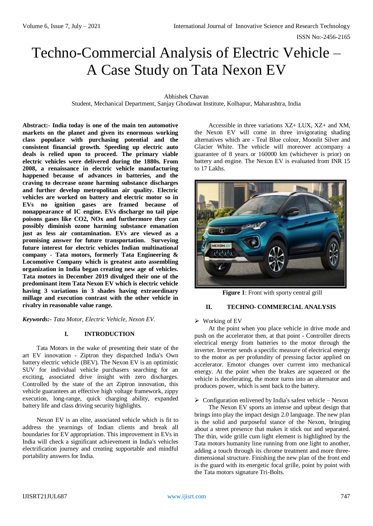# Techno-Commercial Analysis of Electric Vehicle – A Case Study on Tata Nexon EV

Abhishek Chavan

Student, Mechanical Department, Sanjay Ghodawat Institute, Kolhapur, Maharashtra, India

**Abstract:- India today is one of the main ten automotive markets on the planet and given its enormous working class populace with purchasing potential and the consistent financial growth. Speeding up electric auto deals is relied upon to proceed. The primary viable electric vehicles were delivered during the 1880s. From 2008, a renaissance in electric vehicle manufacturing happened because of advances in batteries, and the craving to decrease ozone harming substance discharges and further develop metropolitan air quality. Electric vehicles are worked on battery and electric motor so in EVs no ignition gases are framed because of nonappearance of IC engine. EVs discharge no tail pipe poisons gases like CO2, NOx and furthermore they can possibly diminish ozone harming substance emanation just as less air contamination. EVs are viewed as a promising answer for future transportation. Surveying future interest for electric vehicles Indian multinational company - Tata motors, formerly Tata Engineering & Locomotive Company which is greatest auto assembling organization in India began creating new age of vehicles. Tata motors in December 2019 divulged their one of the predominant item Tata Nexon EV which is electric vehicle having 3 variations in 3 shades having extraordinary millage and execution contrast with the other vehicle in rivalry in reasonable value range.**

*Keywords:- Tata Motor, Electric Vehicle, Nexon EV.*

## **I. INTRODUCTION**

Tata Motors in the wake of presenting their state of the art EV innovation - Ziptron they dispatched India's Own battery electric vehicle (BEV). The Nexon EV is an optimistic SUV for individual vehicle purchasers searching for an exciting, associated drive insight with zero discharges. Controlled by the state of the art Ziptron innovation, this vehicle guarantees an effective high voltage framework, zippy execution, long-range, quick charging ability, expanded battery life and class driving security highlights.

Nexon EV is an elite, associated vehicle which is fit to address the yearnings of Indian clients and break all boundaries for EV appropriation. This improvement in EVs in India will check a significant achievement in India's vehicles electrification journey and creating supportable and mindful portability answers for India.

Accessible in three variations XZ+ LUX, XZ+ and XM, the Nexon EV will come in three invigorating shading alternatives which are - Teal Blue colour, Moonlit Silver and Glacier White. The vehicle will moreover accompany a guarantee of 8 years or 160000 km (whichever is prior) on battery and engine. The Nexon EV is evaluated from INR 15 to 17 Lakhs.



**Figure 1**: Front with sporty central grill

## **II. TECHNO- COMMERCIAL ANALYSIS**

#### $\triangleright$  Working of EV

At the point when you place vehicle in drive mode and push on the accelerator then, at that point - Controller directs electrical energy from batteries to the motor through the inverter. Inverter sends a specific measure of electrical energy to the motor as per profundity of pressing factor applied on accelerator. Emotor changes over current into mechanical energy. At the point when the brakes are squeezed or the vehicle is decelerating, the motor turns into an alternator and produces power, which is sent back to the battery.

 $\triangleright$  Configuration enlivened by India's safest vehicle – Nexon

The Nexon EV sports an intense and upbeat design that brings into play the impact design 2.0 language. The new plan is the solid and purposeful stance of the Nexon, bringing about a street presence that makes it stick out and separated. The thin, wide grille cum light element is highlighted by the Tata motors humanity line running from one light to another, adding a touch through its chrome treatment and more threedimensional structure. Finishing the new plan of the front end is the guard with its energetic focal grille, point by point with the Tata motors signature Tri-Bolts.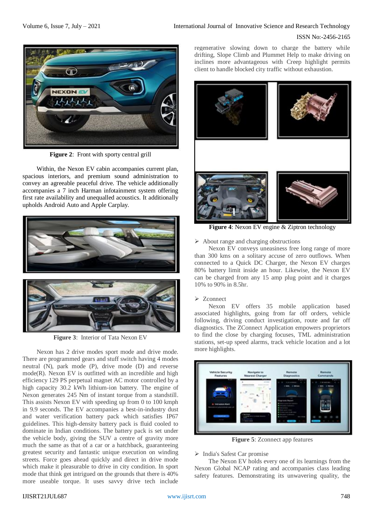

**Figure 2:** Front with sporty central grill

Within, the Nexon EV cabin accompanies current plan, spacious interiors, and premium sound administration to convey an agreeable peaceful drive. The vehicle additionally accompanies a 7 inch Harman infotainment system offering first rate availability and unequalled acoustics. It additionally upholds Android Auto and Apple Carplay.



**Figure 3**: Interior of Tata Nexon EV

Nexon has 2 drive modes sport mode and drive mode. There are programmed gears and stuff switch having 4 modes neutral (N), park mode (P), drive mode (D) and reverse mode(R). Nexon EV is outfitted with an incredible and high efficiency 129 PS perpetual magnet AC motor controlled by a high capacity 30.2 kWh lithium-ion battery. The engine of Nexon generates 245 Nm of instant torque from a standstill. This assists Nexon EV with speeding up from 0 to 100 kmph in 9.9 seconds. The EV accompanies a best-in-industry dust and water verification battery pack which satisfies IP67 guidelines. This high-density battery pack is fluid cooled to dominate in Indian conditions. The battery pack is set under the vehicle body, giving the SUV a centre of gravity more much the same as that of a car or a hatchback, guaranteeing greatest security and fantastic unique execution on winding streets. Force goes ahead quickly and direct in drive mode which make it pleasurable to drive in city condition. In sport mode that think get intrigued on the grounds that there is 40% more useable torque. It uses savvy drive tech include

regenerative slowing down to charge the battery while drifting, Slope Climb and Plummet Help to make driving on inclines more advantageous with Creep highlight permits client to handle blocked city traffic without exhaustion.



**Figure 4**: Nexon EV engine & Ziptron technology

 $\triangleright$  About range and charging obstructions

Nexon EV conveys uneasiness free long range of more than 300 kms on a solitary accuse of zero outflows. When connected to a Quick DC Charger, the Nexon EV charges 80% battery limit inside an hour. Likewise, the Nexon EV can be charged from any 15 amp plug point and it charges 10% to 90% in 8.5hr.

#### > Zconnect

Nexon EV offers 35 mobile application based associated highlights, going from far off orders, vehicle following, driving conduct investigation, route and far off diagnostics. The ZConnect Application empowers proprietors to find the close by charging focuses, TML administration stations, set-up speed alarms, track vehicle location and a lot more highlights.



**Figure 5**: Zconnect app features

#### > India's Safest Car promise

The Nexon EV holds every one of its learnings from the Nexon Global NCAP rating and accompanies class leading safety features. Demonstrating its unwavering quality, the

#### IJISRT21JUL687 [www.ijisrt.com](http://www.ijisrt.com/) 748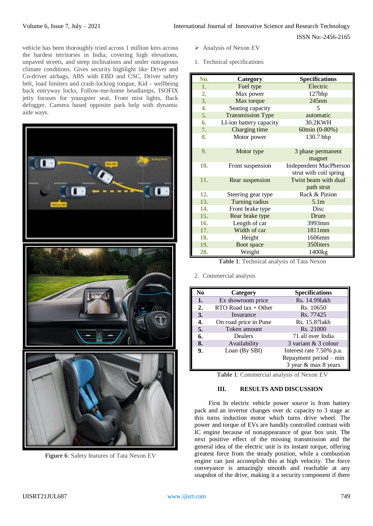vehicle has been thoroughly tried across 1 million kms across the hardest territories in India, covering high elevations, unpaved streets, and steep inclinations and under outrageous climate conditions. Gives security highlight like Driver and Co-driver airbags, ABS with EBD and CSC, Driver safety belt, load limiters and crash-locking tongue, Kid - wellbeing back entryway locks, Follow-me-home headlamps, ISOFIX jetty focuses for youngster seat, Front mist lights, Back defogger, Camera based opposite park help with dynamic aide ways.



**Figure 6**: Safety features of Tata Nexon EV

- $\triangleright$  Analysis of Nexon EV
- 1. Technical specifications

| No. | Category                 | <b>Specifications</b>         |
|-----|--------------------------|-------------------------------|
| 1.  | Fuel type                | Electric                      |
| 2.  | Max power                | 127bhp                        |
| 3.  | Max torque               | 245nm                         |
| 4.  | Seating capacity         | 5                             |
| 5.  | <b>Transmission Type</b> | automatic                     |
| 6.  | LI-ion battery capacity  | 30.2KWH                       |
| 7.  | Charging time            | 60min (0-80%)                 |
| 8.  | Motor power              | 130.7 bhp                     |
|     |                          |                               |
| 9.  | Motor type               | 3 phase permanent             |
|     |                          | magnet                        |
| 10. | Front suspension         | <b>Independent MacPherson</b> |
|     |                          | strut with coil spring        |
| 11. | Rear suspension          | Twist beam with dual          |
|     |                          | path strut                    |
| 12. | Steering gear type       | Rack & Pinion                 |
| 13. | Turning radius           | 5.1 <sub>m</sub>              |
| 14. | Front brake type         | Disc                          |
| 15. | Rear brake type          | Drum                          |
| 16. | Length of car            | 3993mm                        |
| 17. | Width of car             | 1811mm                        |
| 18. | Height                   | 1606mm                        |
| 19. | Boot space               | 350liters                     |
| 20. | Weight                   | 1400 <sub>kg</sub>            |

**Table 1**: Technical analysis of Tata Nexon

## 2. Commercial analysis

| No | Category               | <b>Specifications</b>    |
|----|------------------------|--------------------------|
| 1. | Ex showroom price      | Rs. 14.991akh            |
| 2. | $RTO$ Road tax + Other | Rs. 10650                |
| 3. | Insurance              | Rs. 77425                |
| 4. | On road price in Pune  | Rs. 15.871akh            |
| 5. | Token amount           | Rs. 21000                |
| 6. | Dealers                | 71 all over India        |
| 8. | Availability           | 3 variant & 3 colour     |
| 9. | Loan (By SBI)          | Interest rate 7.50% p.a. |
|    |                        | Repayment period – min   |
|    |                        | 3 year & max 8 years     |

**Table 1**: Commercial analysis of Nexon EV

# **III. RESULTS AND DISCUSSION**

First In electric vehicle power source is from battery pack and an invertor changes over dc capacity to 3 stage ac this turns induction motor which turns drive wheel. The power and torque of EVs are handily controlled contrast with IC engine because of nonappearance of gear box unit. The next positive effect of the missing transmission and the general idea of the electric unit is its instant torque, offering greatest force from the steady position, while a combustion engine can just accomplish this at high velocity. The force conveyance is amazingly smooth and reachable at any snapshot of the drive, making it a security component if there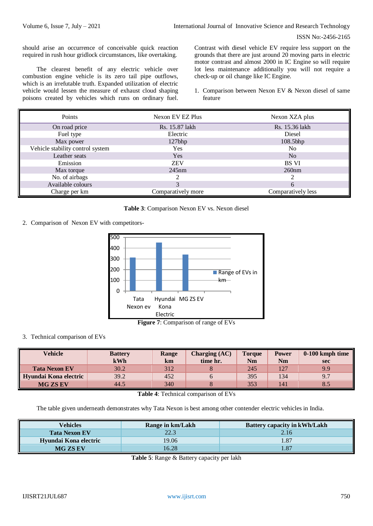should arise an occurrence of conceivable quick reaction required in rush hour gridlock circumstances, like overtaking.

The clearest benefit of any electric vehicle over combustion engine vehicle is its zero tail pipe outflows, which is an irrefutable truth. Expanded utilization of electric vehicle would lessen the measure of exhaust cloud shaping poisons created by vehicles which runs on ordinary fuel. Contrast with diesel vehicle EV require less support on the grounds that there are just around 20 moving parts in electric motor contrast and almost 2000 in IC Engine so will require lot less maintenance additionally you will not require a check-up or oil change like IC Engine.

1. Comparison between Nexon EV & Nexon diesel of same feature

| Points                           | Nexon EV EZ Plus   | Nexon XZA plus     |  |  |
|----------------------------------|--------------------|--------------------|--|--|
| On road price                    | Rs. 15.87 lakh     | Rs. 15.36 lakh     |  |  |
| Fuel type                        | Electric           | Diesel             |  |  |
| Max power                        | $127$ bhp          | 108.5bhp           |  |  |
| Vehicle stability control system | Yes                | N <sub>0</sub>     |  |  |
| Leather seats                    | Yes                | No                 |  |  |
| Emission                         | <b>ZEV</b>         | BS VI              |  |  |
| Max torque                       | $245$ nm           | 260nm              |  |  |
| No. of airbags                   |                    | ◠                  |  |  |
| Available colours                | 3                  | 6                  |  |  |
| Charge per km                    | Comparatively more | Comparatively less |  |  |

## **Table 3**: Comparison Nexon EV vs. Nexon diesel

2. Comparison of Nexon EV with competitors-



**Figure 7**: Comparison of range of EVs

## 3. Technical comparison of EVs

| Vehicle               | <b>Battery</b><br>kWh | Range<br>km | <b>Charging (AC)</b><br>time hr. | <b>Torque</b><br>Nm | <b>Power</b><br><b>Nm</b> | $0-100$ kmph time<br><b>sec</b> |
|-----------------------|-----------------------|-------------|----------------------------------|---------------------|---------------------------|---------------------------------|
| <b>Tata Nexon EV</b>  | 30.2                  | 312         |                                  | 245                 | ררו<br>$\sim$ $\sim$      | 9.9                             |
| Hyundai Kona electric | 39.2                  | 452         |                                  | 395                 | 134                       | 9.7                             |
| <b>MG ZS EV</b>       | 44.5                  | 340         |                                  | 353                 | 141                       | 8.5                             |

**Table 4**: Technical comparison of EVs

The table given underneath demonstrates why Tata Nexon is best among other contender electric vehicles in India.

| Vehicles              | Range in km/Lakh | <b>Battery capacity in kWh/Lakh</b> |  |  |
|-----------------------|------------------|-------------------------------------|--|--|
| <b>Tata Nexon EV</b>  | 22.3             | 2.16                                |  |  |
| Hyundai Kona electric | 19.06            | .87                                 |  |  |
| <b>MG ZS EV</b>       | 16.28            | .87                                 |  |  |

**Table 5**: Range & Battery capacity per lakh